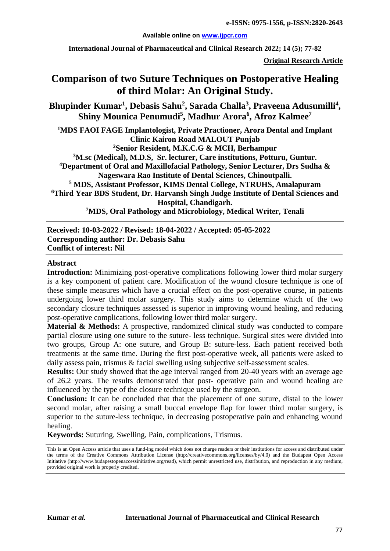#### **Available online on [www.ijpcr.com](http://www.ijpcr.com/)**

**International Journal of Pharmaceutical and Clinical Research 2022; 14 (5); 77-82**

**Original Research Article**

# **Comparison of two Suture Techniques on Postoperative Healing of third Molar: An Original Study.**

Bhupinder Kumar<sup>1</sup>, Debasis Sahu<sup>2</sup>, Sarada Challa<sup>3</sup>, Praveena Adusumilli<sup>4</sup>,  $\boldsymbol{\mathrm{Shiny}}$  Mounica Penumudi<sup>5</sup>, Madhur Arora $^6$ , Afroz Kalmee $^7$ 

**1 MDS FAOI FAGE Implantologist, Private Practioner, Arora Dental and Implant Clinic Kairon Road MALOUT Punjab**

**2Senior Resident, M.K.C.G & MCH, Berhampur 3 M.sc (Medical), M.D.S, Sr. lecturer, Care institutions, Potturu, Guntur. 4 Department of Oral and Maxillofacial Pathology, Senior Lecturer, Drs Sudha & Nageswara Rao Institute of Dental Sciences, Chinoutpalli. <sup>5</sup> MDS, Assistant Professor, KIMS Dental College, NTRUHS, Amalapuram 6 Third Year BDS Student, Dr. Harvansh Singh Judge Institute of Dental Sciences and Hospital, Chandigarh.**

**7MDS, Oral Pathology and Microbiology, Medical Writer, Tenali**

**Received: 10-03-2022 / Revised: 18-04-2022 / Accepted: 05-05-2022 Corresponding author: Dr. Debasis Sahu Conflict of interest: Nil**

#### **Abstract**

**Introduction:** Minimizing post-operative complications following lower third molar surgery is a key component of patient care. Modification of the wound closure technique is one of these simple measures which have a crucial effect on the post-operative course, in patients undergoing lower third molar surgery. This study aims to determine which of the two secondary closure techniques assessed is superior in improving wound healing, and reducing post-operative complications, following lower third molar surgery.

**Material & Methods:** A prospective, randomized clinical study was conducted to compare partial closure using one suture to the suture- less technique. Surgical sites were divided into two groups, Group A: one suture, and Group B: suture-less. Each patient received both treatments at the same time. During the first post-operative week, all patients were asked to daily assess pain, trismus & facial swelling using subjective self-assessment scales.

**Results:** Our study showed that the age interval ranged from 20-40 years with an average age of 26.2 years. The results demonstrated that post- operative pain and wound healing are influenced by the type of the closure technique used by the surgeon.

**Conclusion:** It can be concluded that that the placement of one suture, distal to the lower second molar, after raising a small buccal envelope flap for lower third molar surgery, is superior to the suture-less technique, in decreasing postoperative pain and enhancing wound healing.

**Keywords:** Suturing, Swelling, Pain, complications, Trismus.

This is an Open Access article that uses a fund-ing model which does not charge readers or their institutions for access and distributed under the terms of the Creative Commons Attribution License (http://creativecommons.org/licenses/by/4.0) and the Budapest Open Access Initiative (http://www.budapestopenaccessinitiative.org/read), which permit unrestricted use, distribution, and reproduction in any medium, provided original work is properly credited.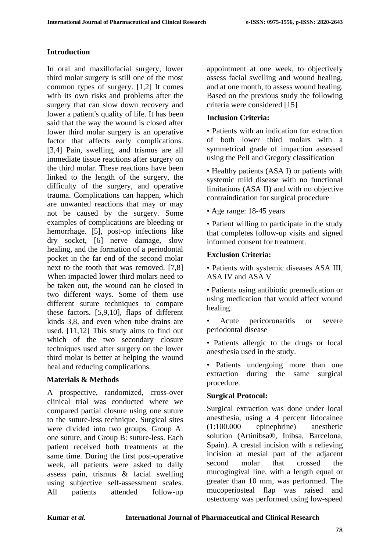# **Introduction**

In oral and maxillofacial surgery, lower third molar surgery is still one of the most common types of surgery. [1,2] It comes with its own risks and problems after the surgery that can slow down recovery and lower a patient's quality of life. It has been said that the way the wound is closed after lower third molar surgery is an operative factor that affects early complications. [3,4] Pain, swelling, and trismus are all immediate tissue reactions after surgery on the third molar. These reactions have been linked to the length of the surgery, the difficulty of the surgery, and operative trauma. Complications can happen, which are unwanted reactions that may or may not be caused by the surgery. Some examples of complications are bleeding or hemorrhage. [5], post-op infections like dry socket, [6] nerve damage, slow healing, and the formation of a periodontal pocket in the far end of the second molar next to the tooth that was removed. [7,8] When impacted lower third molars need to be taken out, the wound can be closed in two different ways. Some of them use different suture techniques to compare these factors. [5,9,10], flaps of different kinds 3,8, and even when tube drains are used. [11,12] This study aims to find out which of the two secondary closure techniques used after surgery on the lower third molar is better at helping the wound heal and reducing complications.

# **Materials & Methods**

A prospective, randomized, cross-over clinical trial was conducted where we compared partial closure using one suture to the suture-less technique. Surgical sites were divided into two groups, Group A: one suture, and Group B: suture-less. Each patient received both treatments at the same time. During the first post-operative week, all patients were asked to daily assess pain, trismus & facial swelling using subjective self-assessment scales. All patients attended follow-up

appointment at one week, to objectively assess facial swelling and wound healing, and at one month, to assess wound healing. Based on the previous study the following criteria were considered [15]

### **Inclusion Criteria:**

• Patients with an indication for extraction of both lower third molars with a symmetrical grade of impaction assessed using the Pell and Gregory classification

• Healthy patients (ASA I) or patients with systemic mild disease with no functional limitations (ASA II) and with no objective contraindication for surgical procedure

• Age range: 18-45 years

• Patient willing to participate in the study that completes follow-up visits and signed informed consent for treatment.

### **Exclusion Criteria:**

• Patients with systemic diseases ASA III, ASA IV and ASA V

• Patients using antibiotic premedication or using medication that would affect wound healing.

Acute pericoronaritis or severe periodontal disease

• Patients allergic to the drugs or local anesthesia used in the study.

• Patients undergoing more than one extraction during the same surgical procedure.

#### **Surgical Protocol:**

Surgical extraction was done under local anesthesia, using a 4 percent lidocainee (1:100.000 epinephrine) anesthetic solution (Artinibsa®, Inibsa, Barcelona, Spain). A crestal incision with a relieving incision at mesial part of the adjacent second molar that crossed the mucogingival line, with a length equal or greater than 10 mm, was performed. The mucoperiosteal flap was raised and ostectomy was performed using low-speed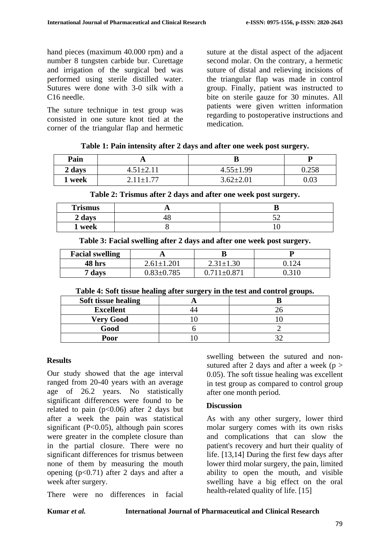hand pieces (maximum 40.000 rpm) and a number 8 tungsten carbide bur. Curettage and irrigation of the surgical bed was performed using sterile distilled water. Sutures were done with 3-0 silk with a C16 needle.

The suture technique in test group was consisted in one suture knot tied at the corner of the triangular flap and hermetic suture at the distal aspect of the adjacent second molar. On the contrary, a hermetic suture of distal and relieving incisions of the triangular flap was made in control group. Finally, patient was instructed to bite on sterile gauze for 30 minutes. All patients were given written information regarding to postoperative instructions and medication.

| Table 1: Pain intensity after 2 days and after one week post surgery. |  |
|-----------------------------------------------------------------------|--|
|-----------------------------------------------------------------------|--|

| Pain   |                 | D               |          |
|--------|-----------------|-----------------|----------|
| 2 days | $4.51 \pm 2.11$ | $4.55 \pm 1.99$ | 0.258    |
| week!  | $2.11 \pm 1.77$ | $3.62 \pm 2.01$ | $0.03\,$ |

| Table 2: Trismus after 2 days and after one week post surgery. |                 |                 |       |
|----------------------------------------------------------------|-----------------|-----------------|-------|
| 1 week                                                         | $2.11 \pm 1.77$ | $3.62 \pm 2.01$ | 0.03  |
| 2 days                                                         | $4.51 \pm 2.11$ | $4.55 \pm 1.99$ | 0.258 |

| <b>Trismus</b> |  |
|----------------|--|
| 2 days         |  |
| 1 week         |  |

**Table 3: Facial swelling after 2 days and after one week post surgery.**

| <b>Facial swelling</b> | . .              |                 |        |
|------------------------|------------------|-----------------|--------|
| 48 hrs                 | $2.61 \pm 1.201$ | $2.31 \pm 1.30$ |        |
| days                   | $0.83 \pm 0.785$ | 711+0.87°       | 1216 ( |

**Table 4: Soft tissue healing after surgery in the test and control groups.**

| Soft tissue healing |  |
|---------------------|--|
| <b>Excellent</b>    |  |
| <b>Very Good</b>    |  |
| Good                |  |
| Poor                |  |

#### **Results**

Our study showed that the age interval ranged from 20-40 years with an average age of 26.2 years. No statistically significant differences were found to be related to pain ( $p<0.06$ ) after 2 days but after a week the pain was statistical significant (P<0.05), although pain scores were greater in the complete closure than in the partial closure. There were no significant differences for trismus between none of them by measuring the mouth opening  $(p<0.71)$  after 2 days and after a week after surgery.

There were no differences in facial

swelling between the sutured and nonsutured after 2 days and after a week ( $p >$ 0.05). The soft tissue healing was excellent in test group as compared to control group after one month period.

# **Discussion**

As with any other surgery, lower third molar surgery comes with its own risks and complications that can slow the patient's recovery and hurt their quality of life. [13,14] During the first few days after lower third molar surgery, the pain, limited ability to open the mouth, and visible swelling have a big effect on the oral health-related quality of life. [15]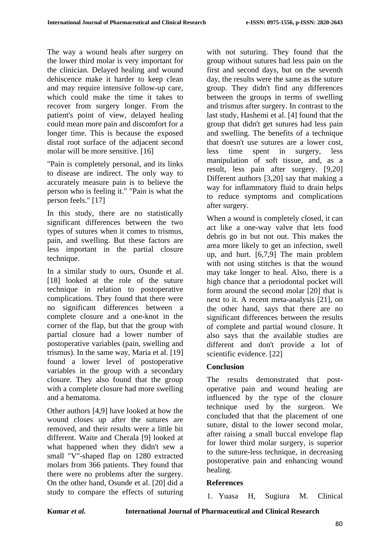The way a wound heals after surgery on the lower third molar is very important for the clinician. Delayed healing and wound dehiscence make it harder to keep clean and may require intensive follow-up care, which could make the time it takes to recover from surgery longer. From the patient's point of view, delayed healing could mean more pain and discomfort for a longer time. This is because the exposed distal root surface of the adjacent second molar will be more sensitive. [16]

"Pain is completely personal, and its links to disease are indirect. The only way to accurately measure pain is to believe the person who is feeling it." "Pain is what the person feels." [17]

In this study, there are no statistically significant differences between the two types of sutures when it comes to trismus, pain, and swelling. But these factors are less important in the partial closure technique.

In a similar study to ours, Osunde et al. [18] looked at the role of the suture technique in relation to postoperative complications. They found that there were no significant differences between a complete closure and a one-knot in the corner of the flap, but that the group with partial closure had a lower number of postoperative variables (pain, swelling and trismus). In the same way, Maria et al. [19] found a lower level of postoperative variables in the group with a secondary closure. They also found that the group with a complete closure had more swelling and a hematoma.

Other authors [4,9] have looked at how the wound closes up after the sutures are removed, and their results were a little bit different. Waite and Cherala [9] looked at what happened when they didn't sew a small "V"-shaped flap on 1280 extracted molars from 366 patients. They found that there were no problems after the surgery. On the other hand, Osunde et al. [20] did a study to compare the effects of suturing

with not suturing. They found that the group without sutures had less pain on the first and second days, but on the seventh day, the results were the same as the suture group. They didn't find any differences between the groups in terms of swelling and trismus after surgery. In contrast to the last study, Hashemi et al. [4] found that the group that didn't get sutures had less pain and swelling. The benefits of a technique that doesn't use sutures are a lower cost, less time spent in surgery, less manipulation of soft tissue, and, as a result, less pain after surgery. [9,20] Different authors [3,20] say that making a way for inflammatory fluid to drain helps to reduce symptoms and complications after surgery.

When a wound is completely closed, it can act like a one-way valve that lets food debris go in but not out. This makes the area more likely to get an infection, swell up, and hurt. [6,7,9] The main problem with not using stitches is that the wound may take longer to heal. Also, there is a high chance that a periodontal pocket will form around the second molar [20] that is next to it. A recent meta-analysis [21], on the other hand, says that there are no significant differences between the results of complete and partial wound closure. It also says that the available studies are different and don't provide a lot of scientific evidence. [22]

# **Conclusion**

The results demonstrated that postoperative pain and wound healing are influenced by the type of the closure technique used by the surgeon. We concluded that that the placement of one suture, distal to the lower second molar, after raising a small buccal envelope flap for lower third molar surgery, is superior to the suture-less technique, in decreasing postoperative pain and enhancing wound healing.

# **References**

1. Yuasa H, Sugiura M. Clinical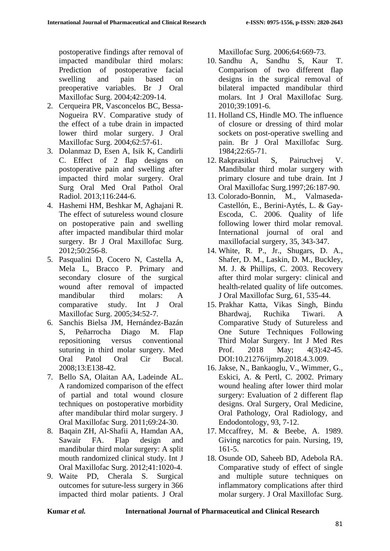postoperative findings after removal of impacted mandibular third molars: Prediction of postoperative facial swelling and pain based on preoperative variables. Br J Oral Maxillofac Surg. 2004;42:209-14.

- 2. Cerqueira PR, Vasconcelos BC, Bessa-Nogueira RV. Comparative study of the effect of a tube drain in impacted lower third molar surgery. J Oral Maxillofac Surg. 2004;62:57-61.
- 3. Dolanmaz D, Esen A, Isik K, Candirli C. Effect of 2 flap designs on postoperative pain and swelling after impacted third molar surgery. Oral Surg Oral Med Oral Pathol Oral Radiol. 2013;116:244-6.
- 4. Hashemi HM, Beshkar M, Aghajani R. The effect of sutureless wound closure on postoperative pain and swelling after impacted mandibular third molar surgery. Br J Oral Maxillofac Surg. 2012;50:256-8.
- 5. Pasqualini D, Cocero N, Castella A, Mela L, Bracco P. Primary and secondary closure of the surgical wound after removal of impacted mandibular third molars: A comparative study. Int J Oral Maxillofac Surg. 2005;34:52-7.
- 6. Sanchis Bielsa JM, Hernández-Bazán S, Peñarrocha Diago M. Flap repositioning versus conventional suturing in third molar surgery. Med Oral Patol Oral Cir Bucal. 2008;13:E138-42.
- 7. Bello SA, Olaitan AA, Ladeinde AL. A randomized comparison of the effect of partial and total wound closure techniques on postoperative morbidity after mandibular third molar surgery. J Oral Maxillofac Surg. 2011;69:24-30.
- 8. Baqain ZH, Al-Shafii A, Hamdan AA, Sawair FA. Flap design and mandibular third molar surgery: A split mouth randomized clinical study. Int J Oral Maxillofac Surg. 2012;41:1020-4.
- 9. Waite PD, Cherala S. Surgical outcomes for suture-less surgery in 366 impacted third molar patients. J Oral

Maxillofac Surg. 2006;64:669-73.

- 10. Sandhu A, Sandhu S, Kaur T. Comparison of two different flap designs in the surgical removal of bilateral impacted mandibular third molars. Int J Oral Maxillofac Surg. 2010;39:1091-6.
- 11. Holland CS, Hindle MO. The influence of closure or dressing of third molar sockets on post-operative swelling and pain. Br J Oral Maxillofac Surg. 1984;22:65-71.
- 12. Rakprasitkul S, Pairuchvej V. Mandibular third molar surgery with primary closure and tube drain. Int J Oral Maxillofac Surg.1997;26:187-90.
- 13. Colorado-Bonnin, M., Valmaseda-Castellón, E., Berini-Aytés, L. & Gay-Escoda, C. 2006. Quality of life following lower third molar removal. International journal of oral and maxillofacial surgery, 35, 343-347.
- 14. White, R. P., Jr., Shugars, D. A., Shafer, D. M., Laskin, D. M., Buckley, M. J. & Phillips, C. 2003. Recovery after third molar surgery: clinical and health-related quality of life outcomes. J Oral Maxillofac Surg, 61, 535-44.
- 15. Prakhar Katta, Vikas Singh, Bindu Bhardwaj, Ruchika Tiwari. A Comparative Study of Sutureless and One Suture Techniques Following Third Molar Surgery. Int J Med Res Prof. 2018 May; 4(3):42-45. DOI:10.21276/ijmrp.2018.4.3.009.
- 16. Jakse, N., Bankaoglu, V., Wimmer, G., Eskici, A. & Pertl, C. 2002. Primary wound healing after lower third molar surgery: Evaluation of 2 different flap designs. Oral Surgery, Oral Medicine, Oral Pathology, Oral Radiology, and Endodontology, 93, 7-12.
- 17. Mccaffrey, M. & Beebe, A. 1989. Giving narcotics for pain. Nursing, 19, 161-5.
- 18. Osunde OD, Saheeb BD, Adebola RA. Comparative study of effect of single and multiple suture techniques on inflammatory complications after third molar surgery. J Oral Maxillofac Surg.